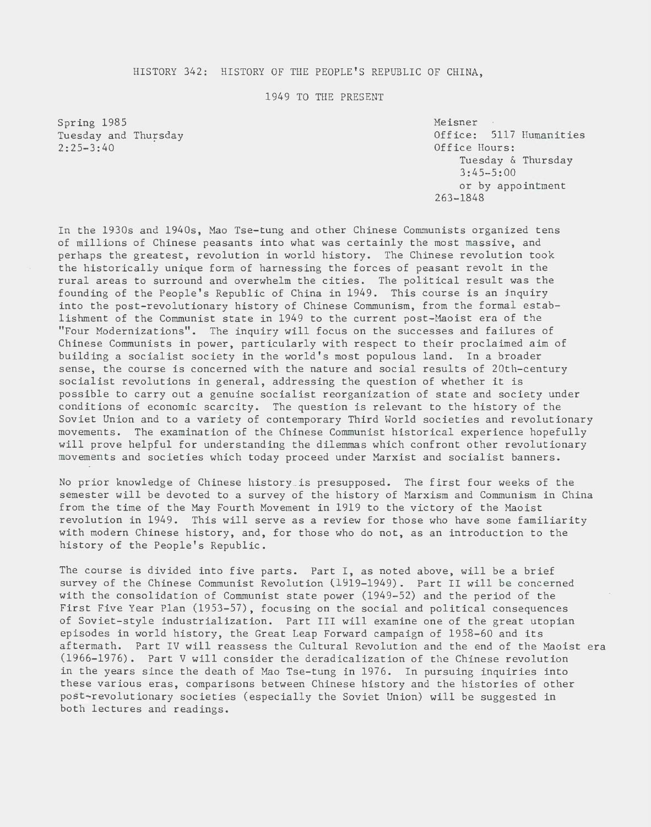#### HISTORY 342: HISTORY OF THE PEOPLE'S REPUBLIC OF CHINA,

#### 1949 TO THE PRESENT

Spring 1985 Tuesday and Thursday 2:25-3:40

Meisner Office: 5117 Humanities Office Hours: Tuesday & Thursday 3:45-5:00 or by appointment 263-1848

In the 1930s and 1940s, Mao Tse-tung and other Chinese Communists organized tens of millions of Chinese peasants into what was certainly the most massive, and perhaps the greatest, revolution in world history. The Chinese revolution took the historically unique form of harnessing the forces of peasant revolt in the rural areas to surround and overwhelm the cities. The political result was the founding of the People's Republic of China in 1949. This course is an inquiry into the post-revolutionary history of Chinese Communism, from the formal establishment of the Communist state in 1949 to the current post-Maoist era of the "Four Modernizations". The inquiry will focus on the successes and failures of Chinese Communists in power, particularly with respect to their proclaimed aim of building a socialist society in the world's most populous land. In a broader sense, the course is concerned with the nature and social results of 20th-century socialist revolutions in general, addressing the question of whether it is possible to carry out a genuine socialist reorganization of state and society under conditions of economic scarcity. The question is relevant to the history of the Soviet Union and to a variety of contemporary Third World societies and revolutionary movements. The examination of the Chinese Communist historical experience hopefully will prove helpful for understanding the dilemmas which confront other revolutionary movements and societies which today proceed under Marxist and socialist banners.

No prior knowledge of Chinese history \_is presupposed. The first four weeks of the semester will be devoted to a survey of the history of Marxism and Communism in China from the time of the May Fourth Movement in 1919 to the victory of the Maoist revolution in 1949. This will serve as a review for those who have some familiarity with modern Chinese history, and, for those who do not, as an introduction to the history of the People's Republic.

The course is divided into five parts. Part I, as noted above, will be a brief survey of the Chinese Communist Revolution (1919-1949). Part II will be concerned with the consolidation of Communist state power (1949-52) and the period of the First Five Year Plan (1953-57), focusing on the social and political consequences of Soviet-style industrialization. Part III will examine one of the great utopian episodes in world history, the Great Leap Forward campaign of 1958-60 and its aftermath. Part IV will reassess the Cultural Revolution and the end of the Maoist era (1966-1976). Part V will consider the deradicalization of the Chinese revolution in the years since the death of Mao Tse-tung in 1976. In pursuing inquiries into these various eras, comparisons between Chinese history and the histories of other post-revolutionary societies (especially the Soviet Union) will be suggested in both lectures and readings.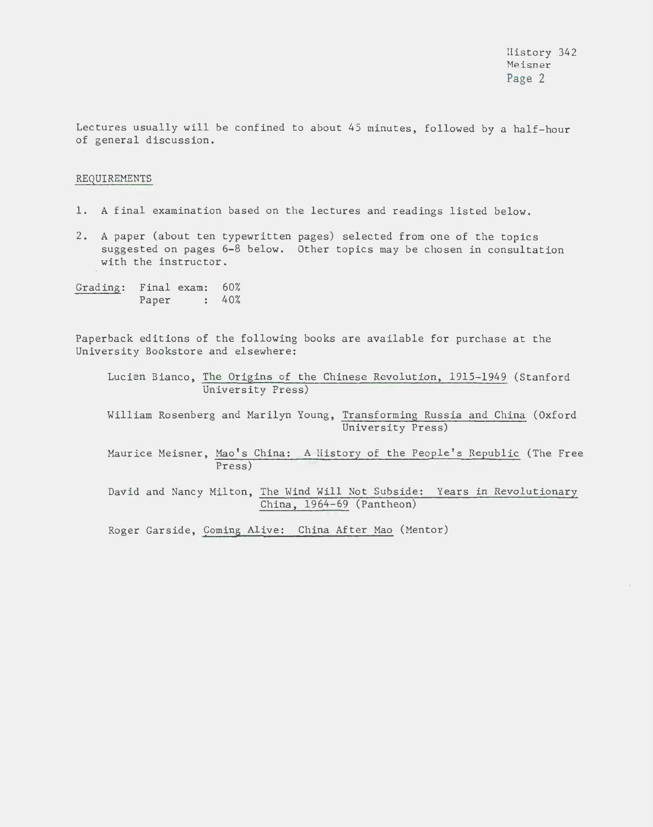Lectures usually will be confined to about 45 minutes, followed by a half-hour of general discussion.

#### REQUIREMENTS

- 1. A final examination based on the lectures and readings listed below.
- 2. A paper (about ten typewritten pages) selected from one of the topics suggested on pages 6-8 below. Other topics may be chosen in consultation with the instructor.
- Grading: Final exam: 60% Paper : 40%

Paperback editions of the following books are available for purchase at the University Bookstore and elsewhere:

Lucien Bianco, The Origins of the Chinese Revolution, 1915-1949 (Stanford University Press)

William Rosenberg and Marilyn Young, Transforming Russia and China (Oxford University Press)

Maurice Meisner, Mao's China: A History of the People's Republic (The Free Press)

David and Nancy Milton, The Wind Will Not Subside: Years in Revolutionary China, 1964-69 (Pantheon)

Roger Garside, Coming Alive: China After Mao (Mentor)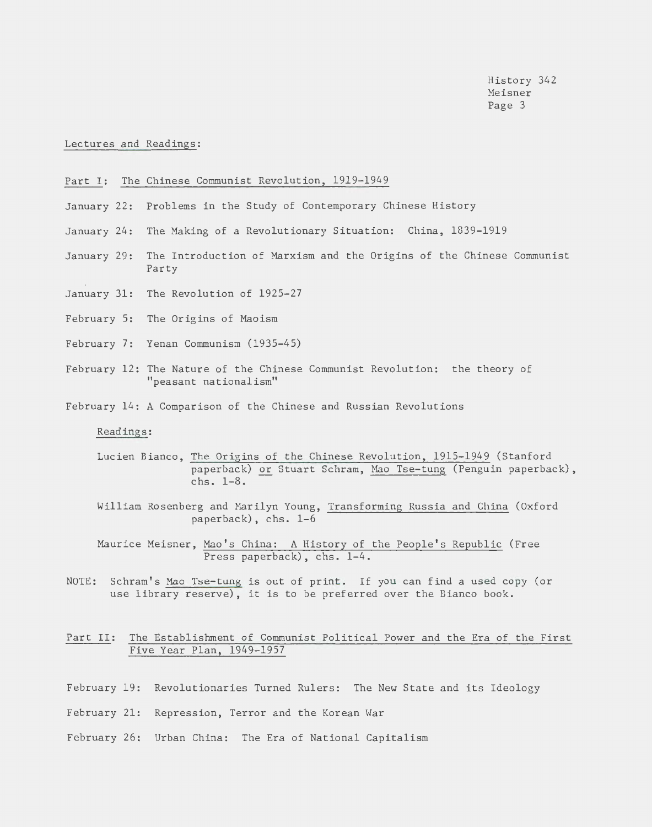History 342 Heisner Page 3

Lectures and Readings:

#### Part I: The Chinese Communist Revolution, 1919-1949

- January 22: Problems in the Study of Contemporary Chinese History
- January 24: The Making of a Revolutionary Situation: China, 1839-1919
- January 29: The Introduction of Marxism and the Origins of the Chinese Communist Party
- January 31: The Revolution of 1925-27
- February 5: The Origins of Maoism
- February 7: Yenan Communism (1935-45)
- February 12: The Nature of the Chinese Communist Revolution: the theory of "peasant nationalism"
- February 14: A Comparison of the Chinese and Russian Revolutions

# Readings:

- Lucien Bianco, The Origins of the Chinese Revolution, 1915-1949 (Stanford paperback) or Stuart Schram, Mao Tse-tung (Penguin paperback), chs. 1-8.
- William Rosenberg and Marilyn Young, Transforming Russia and China (Oxford paperback), chs. 1-6
- Maurice Meisner, Mao's China: A History of the People's Republic (Free Press paperback), chs. 1-4.
- NOTE: Schram's Mao Tse-tung is out of print. If you can find a used copy (or use library reserve), it is to be preferred over the Bianco book.

# Part II: The Establishment of Communist Political Power and the Era of the First Five Year Plan, 1949-1957

- February 19: Revolutionaries Turned Rulers: The New State and its Ideology
- February 21: Repression, Terror and the Korean War
- February 26: Urban China: The Era of National Capitalism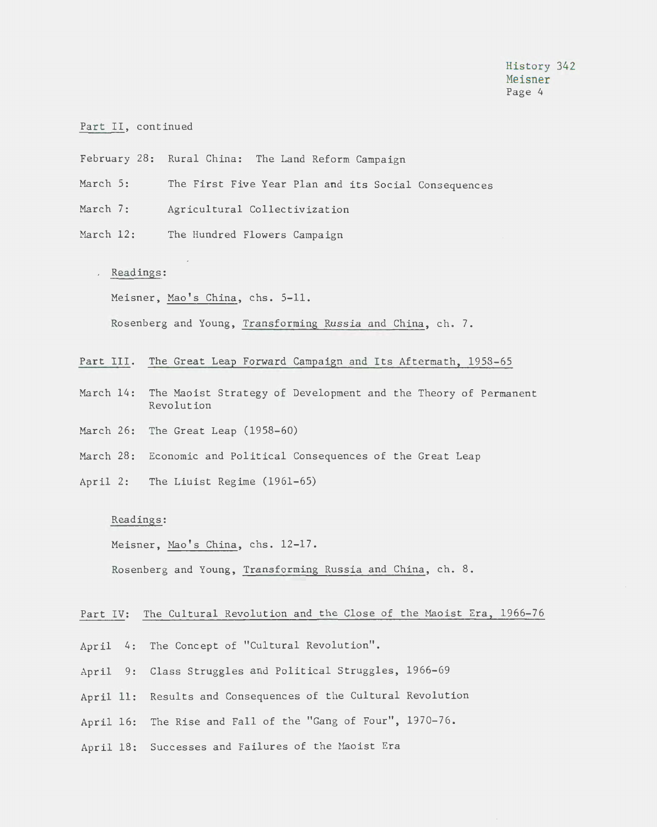# Part II, continued

- February 28: Rural China: The Land Reform Campaign
- March 5: The First Five Year Plan and its Social Consequences
- March 7: Agricultural Collectivization
- March 12: The Hundred Flowers Campaign

#### . Readings:

Meisner, Mao's China, chs. 5-11.

Rosenberg and Young, Transforming Russia and China, ch. 7.

## Part III. The Great Leap Forward Campaign and Its Aftermath, 1953-65

- March 14: The Maoist Strategy of Development and the Theory of Permanent Revolution
- March 26: The Great Leap (1958-60)
- March 28: Economic and Political Consequences of the Great Leap
- April 2: The Liuist Regime (1961-65)

# Readings:

Meisner, Mao's China, chs. 12-17.

Rosenberg and Young, Transforming Russia and China, ch. 8.

## Part IV: The Cultural Revolution and the Close of the Maoist Era, 1966-76

- April 4: The Concept of "Cultural Revolution".
- April 9: Class Struggles and Political Struggles, 1966-69
- April 11: Results and Consequences of the Cultural Revolution
- April 16: The Rise and Fall of the "Gang of Four", 1970-76.
- April 18: Successes and Failures of the Maoist Era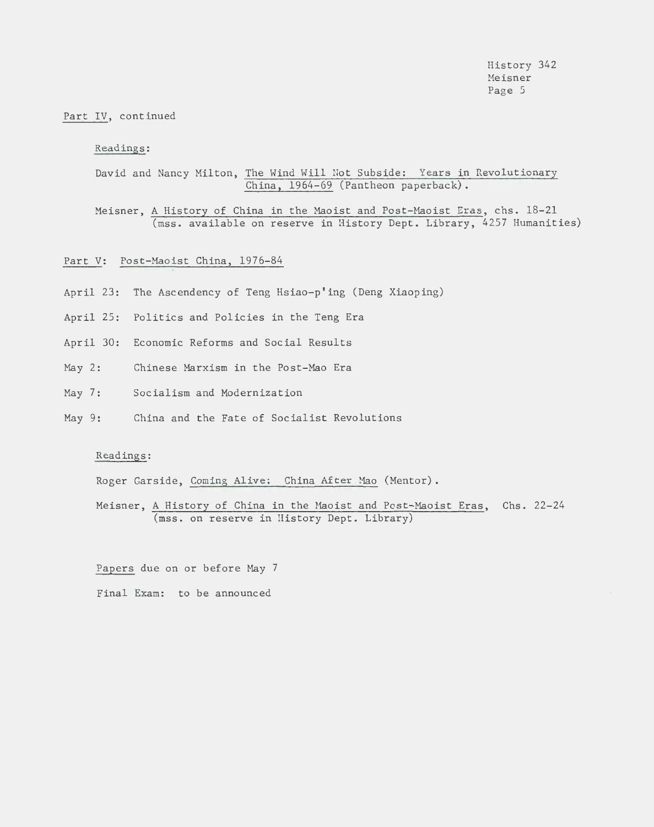History 342 Meisner Page 5

## Part IV, continued

### Readings:

David and Nancy Milton, The Wind Will Not Subside: Years in Revolutionary China, 1964-69 (Pantheon paperback).

Meisner, A History of China in the Maoist and Post-Maoist Eras, chs. 18-21 (mss. available on reserve in Ristory Dept. Library, 4257 Humanities)

### Part V: Post-Maoist China, 1976-84

- April 23: The Ascendency of Teng Hsiao-p'ing (Deng Xiaoping)
- April 25: Politics and Policies in the Teng Era
- April 30: Economic Reforms and Social Results
- $May 2:$ Chinese Marxism in the Post-Mao Era
- May 7: Socialism and Modernization
- May 9: 9: China and the Fate of Socialist Revolutions

## Readings:

Roger Garside, Coming Alive: China After Mao (Mentor).

Meisner, A History of China in the Maoist and Post-Maoist Eras, Chs. 22-24 (mss. on reserve in History Dept. Library)

Papers due on or before May 7 Final Exam: to be announced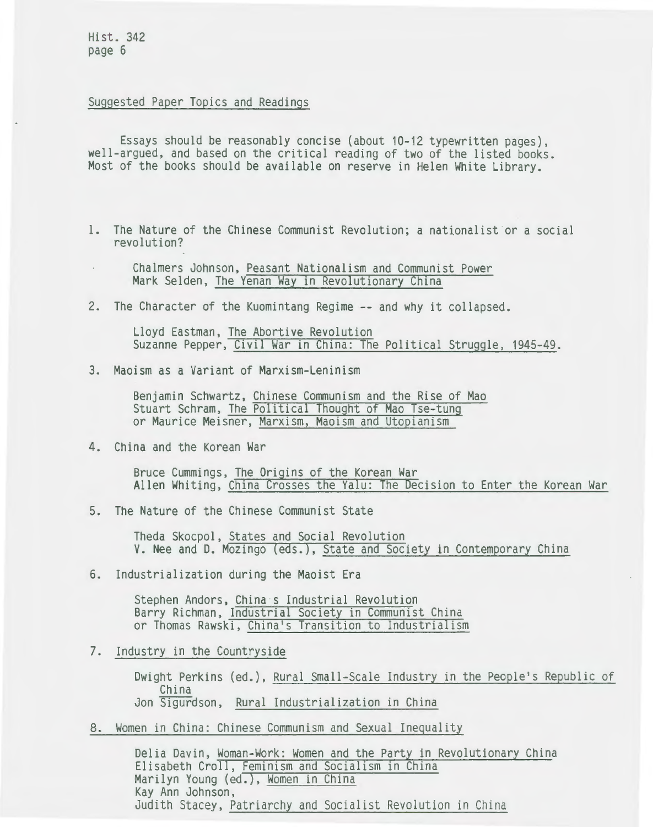Hist. 342 page 6

# Suggested Paper Topics and Readings

Essays should be reasonably concise (about 10-12 typewritten pages), well-argued, and based on the critical reading of two of the listed books. Most of the books should be available on reserve in Helen White Library.

- l. The Nature of the Chinese Communist Revolution; a nationalist or a social revolution?
	- Chalmers Johnson, Peasant Nationalism and Communist Power Mark Selden, The Yenan Way in Revolutionary China
- 2. The Character of the Kuomintang Regime -- and why it collapsed.

Lloyd Eastman, The Abortive Revolution Suzanne Pepper, Civil War in China: The Political Struggle, 1945-49.

3. Maoism as a Variant of Marxism-Leninism

Benjamin Schwartz, Chinese Communism and the Rise of Mao Stuart Schram, The Political Thought of Mao Tse-tung or Maurice Meisner, Marxism, Maoism and Utopianism

4. China and the Korean War

Bruce Cummings, The Origins of the Korean War Allen Whiting, China Crosses the Yalu: The Decision to Enter the Korean War

5. The Nature of the Chinese Communist State

Theda Skocpol, States and Social Revolution V. Nee and D. Mozingo (eds.), State and Society in Contemporary China

6. Industrialization during the Maoist Era

Stephen Andors, China s Industrial Revolution Barry Richman, Industrial Society in Communist China or Thomas Rawski, China's Transition to Industrialism

7. Industry in the Countryside

Dwight Perkins (ed.), Rural Small-Scale Industry in the People's Republic of China Jon Sigurdson, Rural Industrialization in China

8. Women in China: Chinese Communism and Sexual Inequality

Delia Davin, Woman-Work: Women and the Party in Revolutionary China Elisabeth Croll, Feminism and Socialism in China Marilyn Young (ed.), Women in China Kay Ann Johnson, Judith Stacey, Patriarchy and Socialist Revolution in China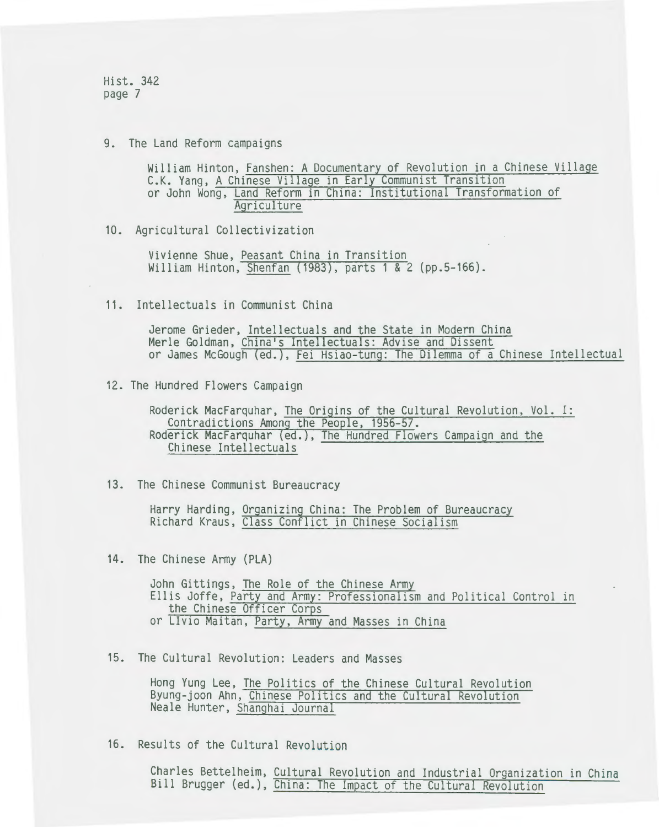Hist. 342 page 7

9. The Land Reform campaigns

William Hinton, Fanshen: A Documentary of Revolution in a Chinese Village C.K. Yang, A Chinese Village in Early Communist Transition or John Wong, Land Reform in China: Institutional Transformation of **Agriculture** 

10. Agricultural Collectivization

Vivienne Shue, Peasant China in Transition William Hinton, Shenfan (1983), parts 1 & 2 (pp.5-166).

11. Intellectuals in Communist China

Jerome Grieder, Intellectuals and the State in Modern China Merle Goldman, China's Intellectuals: Advise and Dissent or James McGough (ed.), Fei Hsiao-tung: The Dilemma of a Chinese Intellectual

12. The Hundred Flowers Campaign

Roderick MacFarquhar, The Origins of the Cultural Revolution, Vol. I: Contradictions Among the People, 1956-57. Roderick MacFarquhar (ed.), The Hundred Flowers Campaign and the Chinese Intellectuals

13. The Chinese Communist Bureaucracy

Harry Harding, Organizing China: The Problem of Bureaucracy Richard Kraus, Class Conflict in Chinese Socialism

14. The Chinese Army (PLA)

John Gittings, The Role of the Chinese Army<br>Ellis Joffe, Party and Army: Professionalism and Political Control in the Chinese Officer Corps or Livia Maitan, Party, Army and Masses in China

15. The Cultural Revolution: Leaders and Masses

Hong Yung Lee, The Politics of the Chinese Cultural Revolution Byung-joon Ahn, Chinese Politics and the Cultural Revolution Neale Hunter, Shanghai Journal

16. Results of the Cultural Revolution

Charles Bettelheim, Cultural Revolution and Industrial Organization in China Bill Brugger (ed.), China: The Impact of the Cultural Revolution